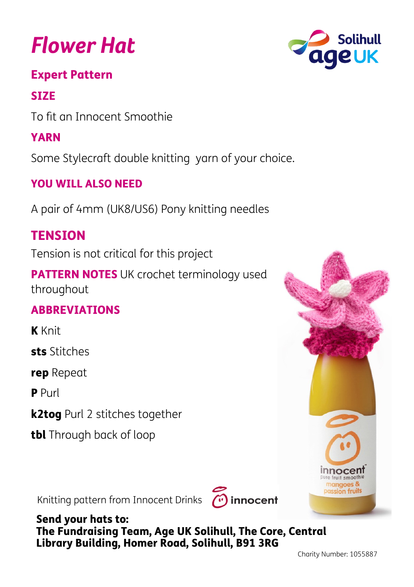# *Flower Hat*

#### Expert Pattern

## **SIZE**

To fit an Innocent Smoothie

# YARN

Some Stylecraft double knitting yarn of your choice.

## YOU WILL ALSO NEED

A pair of 4mm (UK8/US6) Pony knitting needles

# **TENSION**

Tension is not critical for this project

PATTERN NOTES UK crochet terminology used throughout

#### ABBREVIATIONS

K Knit

sts Stitches

rep Repeat

**P** Purl

k2tog Purl 2 stitches together

tbl Through back of loop

Knitting pattern from Innocent Drinks (1) innocent



Send your hats to: The Fundraising Team, Age UK Solihull, The Core, Central Library Building, Homer Road, Solihull, B91 3RG





**Innocent** pure fruit smoc mangoes & assion fruits